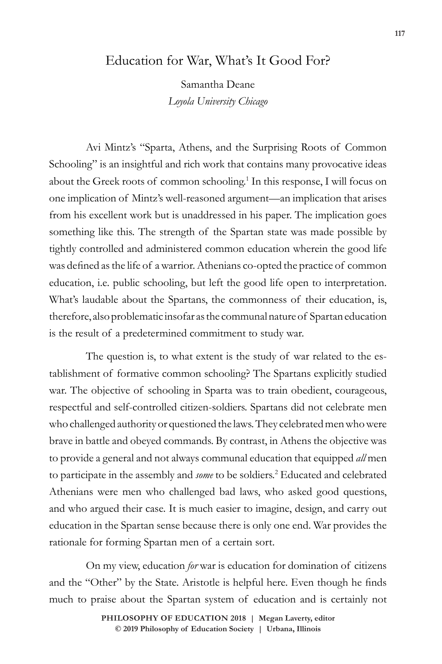## Education for War, What's It Good For?

Samantha Deane *Loyola University Chicago*

Avi Mintz's "Sparta, Athens, and the Surprising Roots of Common Schooling" is an insightful and rich work that contains many provocative ideas about the Greek roots of common schooling.<sup>1</sup> In this response, I will focus on one implication of Mintz's well-reasoned argument—an implication that arises from his excellent work but is unaddressed in his paper. The implication goes something like this. The strength of the Spartan state was made possible by tightly controlled and administered common education wherein the good life was defined as the life of a warrior. Athenians co-opted the practice of common education, i.e. public schooling, but left the good life open to interpretation. What's laudable about the Spartans, the commonness of their education, is, therefore, also problematic insofar as the communal nature of Spartan education is the result of a predetermined commitment to study war.

The question is, to what extent is the study of war related to the establishment of formative common schooling? The Spartans explicitly studied war. The objective of schooling in Sparta was to train obedient, courageous, respectful and self-controlled citizen-soldiers. Spartans did not celebrate men who challenged authority or questioned the laws. They celebrated men who were brave in battle and obeyed commands. By contrast, in Athens the objective was to provide a general and not always communal education that equipped *all* men to participate in the assembly and *some* to be soldiers.<sup>2</sup> Educated and celebrated Athenians were men who challenged bad laws, who asked good questions, and who argued their case. It is much easier to imagine, design, and carry out education in the Spartan sense because there is only one end. War provides the rationale for forming Spartan men of a certain sort.

On my view, education *for* war is education for domination of citizens and the "Other" by the State. Aristotle is helpful here. Even though he finds much to praise about the Spartan system of education and is certainly not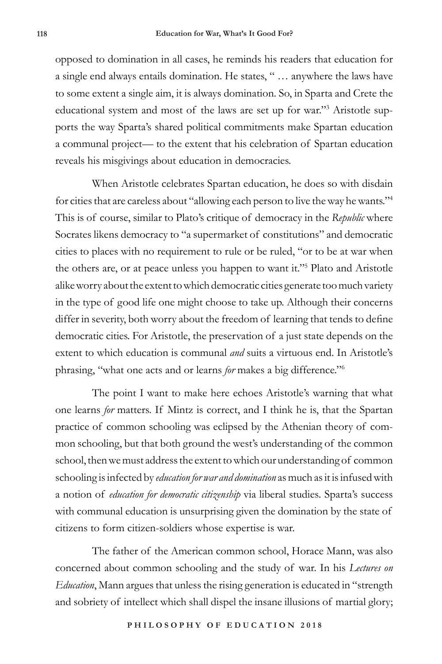opposed to domination in all cases, he reminds his readers that education for a single end always entails domination. He states, " … anywhere the laws have to some extent a single aim, it is always domination. So, in Sparta and Crete the educational system and most of the laws are set up for war."<sup>3</sup> Aristotle supports the way Sparta's shared political commitments make Spartan education a communal project— to the extent that his celebration of Spartan education reveals his misgivings about education in democracies.

When Aristotle celebrates Spartan education, he does so with disdain for cities that are careless about "allowing each person to live the way he wants."4 This is of course, similar to Plato's critique of democracy in the *Republic* where Socrates likens democracy to "a supermarket of constitutions" and democratic cities to places with no requirement to rule or be ruled, "or to be at war when the others are, or at peace unless you happen to want it."5 Plato and Aristotle alike worry about the extent to which democratic cities generate too much variety in the type of good life one might choose to take up. Although their concerns differ in severity, both worry about the freedom of learning that tends to define democratic cities. For Aristotle, the preservation of a just state depends on the extent to which education is communal *and* suits a virtuous end. In Aristotle's phrasing, "what one acts and or learns *for* makes a big difference."6

The point I want to make here echoes Aristotle's warning that what one learns *for* matters. If Mintz is correct, and I think he is, that the Spartan practice of common schooling was eclipsed by the Athenian theory of common schooling, but that both ground the west's understanding of the common school, then we must address the extent to which our understanding of common schooling is infected by *education for war and domination* as much as it is infused with a notion of *education for democratic citizenship* via liberal studies*.* Sparta's success with communal education is unsurprising given the domination by the state of citizens to form citizen-soldiers whose expertise is war.

The father of the American common school, Horace Mann, was also concerned about common schooling and the study of war. In his *Lectures on Education*, Mann argues that unless the rising generation is educated in "strength and sobriety of intellect which shall dispel the insane illusions of martial glory;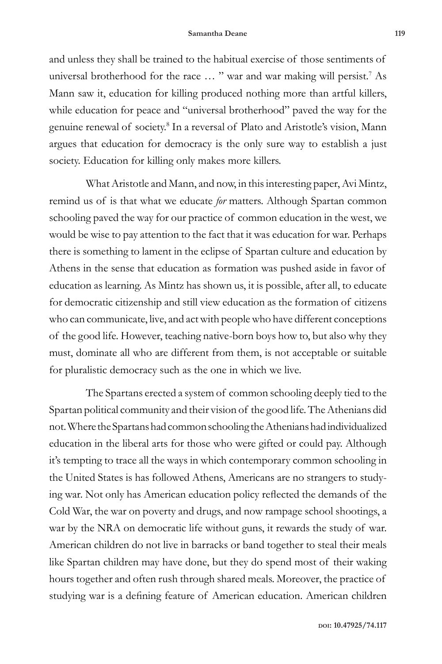and unless they shall be trained to the habitual exercise of those sentiments of universal brotherhood for the race ... " war and war making will persist.<sup>7</sup> As Mann saw it, education for killing produced nothing more than artful killers, while education for peace and "universal brotherhood" paved the way for the genuine renewal of society.<sup>8</sup> In a reversal of Plato and Aristotle's vision, Mann argues that education for democracy is the only sure way to establish a just society. Education for killing only makes more killers.

What Aristotle and Mann, and now, in this interesting paper, Avi Mintz, remind us of is that what we educate *for* matters. Although Spartan common schooling paved the way for our practice of common education in the west, we would be wise to pay attention to the fact that it was education for war. Perhaps there is something to lament in the eclipse of Spartan culture and education by Athens in the sense that education as formation was pushed aside in favor of education as learning. As Mintz has shown us, it is possible, after all, to educate for democratic citizenship and still view education as the formation of citizens who can communicate, live, and act with people who have different conceptions of the good life. However, teaching native-born boys how to, but also why they must, dominate all who are different from them, is not acceptable or suitable for pluralistic democracy such as the one in which we live.

The Spartans erected a system of common schooling deeply tied to the Spartan political community and their vision of the good life. The Athenians did not. Where the Spartans had common schooling the Athenians had individualized education in the liberal arts for those who were gifted or could pay. Although it's tempting to trace all the ways in which contemporary common schooling in the United States is has followed Athens, Americans are no strangers to studying war. Not only has American education policy reflected the demands of the Cold War, the war on poverty and drugs, and now rampage school shootings, a war by the NRA on democratic life without guns, it rewards the study of war. American children do not live in barracks or band together to steal their meals like Spartan children may have done, but they do spend most of their waking hours together and often rush through shared meals. Moreover, the practice of studying war is a defining feature of American education. American children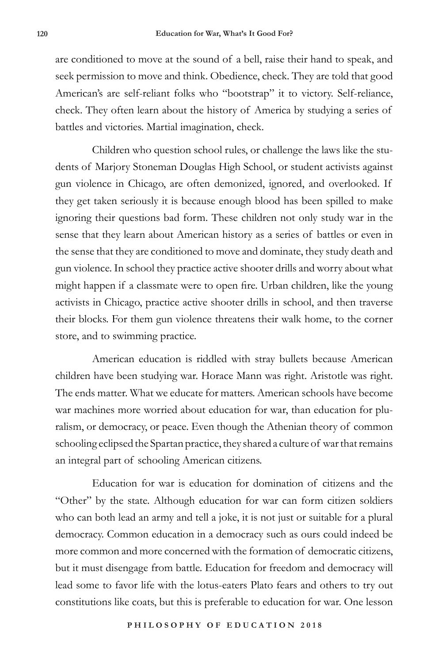are conditioned to move at the sound of a bell, raise their hand to speak, and seek permission to move and think. Obedience, check. They are told that good American's are self-reliant folks who "bootstrap" it to victory. Self-reliance, check. They often learn about the history of America by studying a series of battles and victories. Martial imagination, check.

Children who question school rules, or challenge the laws like the students of Marjory Stoneman Douglas High School, or student activists against gun violence in Chicago, are often demonized, ignored, and overlooked. If they get taken seriously it is because enough blood has been spilled to make ignoring their questions bad form. These children not only study war in the sense that they learn about American history as a series of battles or even in the sense that they are conditioned to move and dominate, they study death and gun violence. In school they practice active shooter drills and worry about what might happen if a classmate were to open fire. Urban children, like the young activists in Chicago, practice active shooter drills in school, and then traverse their blocks. For them gun violence threatens their walk home, to the corner store, and to swimming practice.

American education is riddled with stray bullets because American children have been studying war. Horace Mann was right. Aristotle was right. The ends matter. What we educate for matters. American schools have become war machines more worried about education for war, than education for pluralism, or democracy, or peace. Even though the Athenian theory of common schooling eclipsed the Spartan practice, they shared a culture of war that remains an integral part of schooling American citizens.

Education for war is education for domination of citizens and the "Other" by the state. Although education for war can form citizen soldiers who can both lead an army and tell a joke, it is not just or suitable for a plural democracy. Common education in a democracy such as ours could indeed be more common and more concerned with the formation of democratic citizens, but it must disengage from battle. Education for freedom and democracy will lead some to favor life with the lotus-eaters Plato fears and others to try out constitutions like coats, but this is preferable to education for war. One lesson